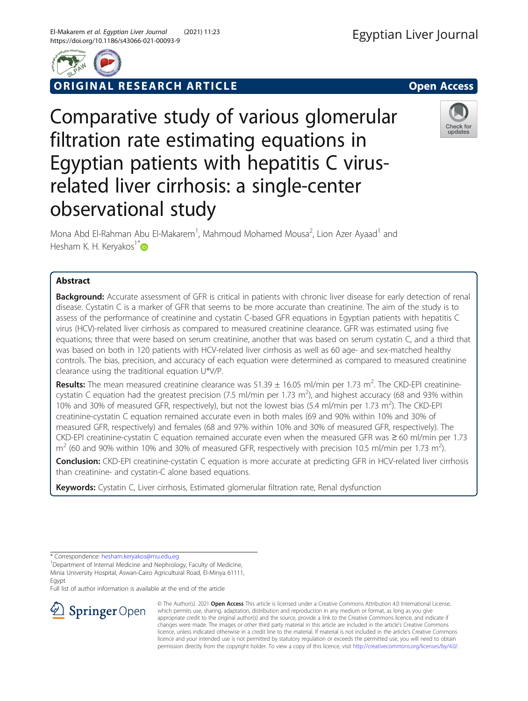

**RIGINAL RESEARCH ARTICLE CONSIDERING OPEN ACCESS** 

Comparative study of various glomerular filtration rate estimating equations in Egyptian patients with hepatitis C virusrelated liver cirrhosis: a single-center observational study



Mona Abd El-Rahman Abu El-Makarem<sup>1</sup>, Mahmoud Mohamed Mousa<sup>2</sup>, Lion Azer Ayaad<sup>1</sup> and Hesham K. H. Keryakos<sup>1[\\*](http://orcid.org/0000-0003-3443-6390)</sup>

## Abstract

**Background:** Accurate assessment of GFR is critical in patients with chronic liver disease for early detection of renal disease. Cystatin C is a marker of GFR that seems to be more accurate than creatinine. The aim of the study is to assess of the performance of creatinine and cystatin C-based GFR equations in Egyptian patients with hepatitis C virus (HCV)-related liver cirrhosis as compared to measured creatinine clearance. GFR was estimated using five equations; three that were based on serum creatinine, another that was based on serum cystatin C, and a third that was based on both in 120 patients with HCV-related liver cirrhosis as well as 60 age- and sex-matched healthy controls. The bias, precision, and accuracy of each equation were determined as compared to measured creatinine clearance using the traditional equation U\*V/P.

Results: The mean measured creatinine clearance was  $51.39 \pm 16.05$  ml/min per 1.73 m<sup>2</sup>. The CKD-EPI creatininecystatin C equation had the greatest precision (7.5 ml/min per 1.73 m<sup>2</sup>), and highest accuracy (68 and 93% within 10% and 30% of measured GFR, respectively), but not the lowest bias (5.4 ml/min per 1.73 m<sup>2</sup>). The CKD-EPI creatinine-cystatin C equation remained accurate even in both males (69 and 90% within 10% and 30% of measured GFR, respectively) and females (68 and 97% within 10% and 30% of measured GFR, respectively). The CKD-EPI creatinine-cystatin C equation remained accurate even when the measured GFR was ≥ 60 ml/min per 1.73  $m^2$  (60 and 90% within 10% and 30% of measured GFR, respectively with precision 10.5 ml/min per 1.73 m<sup>2</sup>).

Conclusion: CKD-EPI creatinine-cystatin C equation is more accurate at predicting GFR in HCV-related liver cirrhosis than creatinine- and cystatin-C alone based equations.

Keywords: Cystatin C, Liver cirrhosis, Estimated glomerular filtration rate, Renal dysfunction

\* Correspondence: [hesham.keryakos@mu.edu.eg](mailto:hesham.keryakos@mu.edu.eg) <sup>1</sup>

<sup>1</sup>Department of Internal Medicine and Nephrology, Faculty of Medicine, Minia University Hospital, Aswan-Cairo Agricultural Road, El-Minya 61111, Egypt

Full list of author information is available at the end of the article



© The Author(s). 2021 Open Access This article is licensed under a Creative Commons Attribution 4.0 International License, which permits use, sharing, adaptation, distribution and reproduction in any medium or format, as long as you give appropriate credit to the original author(s) and the source, provide a link to the Creative Commons licence, and indicate if changes were made. The images or other third party material in this article are included in the article's Creative Commons licence, unless indicated otherwise in a credit line to the material. If material is not included in the article's Creative Commons licence and your intended use is not permitted by statutory regulation or exceeds the permitted use, you will need to obtain permission directly from the copyright holder. To view a copy of this licence, visit <http://creativecommons.org/licenses/by/4.0/>.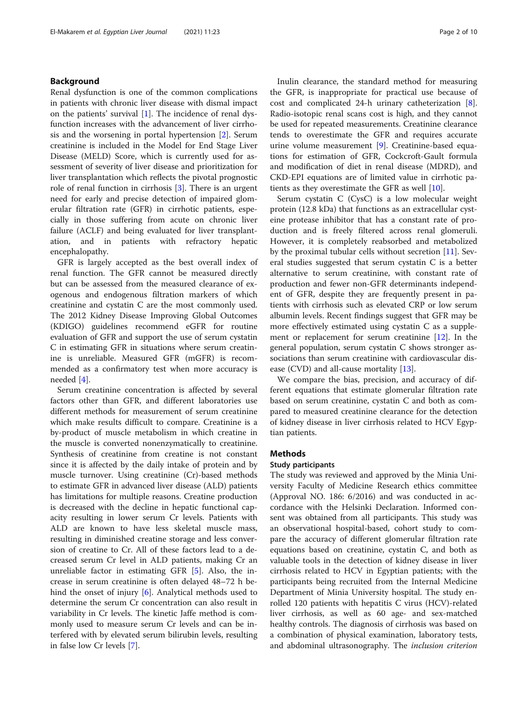## Background

Renal dysfunction is one of the common complications in patients with chronic liver disease with dismal impact on the patients' survival  $[1]$  $[1]$  $[1]$ . The incidence of renal dysfunction increases with the advancement of liver cirrhosis and the worsening in portal hypertension [\[2](#page-9-0)]. Serum creatinine is included in the Model for End Stage Liver Disease (MELD) Score, which is currently used for assessment of severity of liver disease and prioritization for liver transplantation which reflects the pivotal prognostic role of renal function in cirrhosis [\[3](#page-9-0)]. There is an urgent need for early and precise detection of impaired glomerular filtration rate (GFR) in cirrhotic patients, especially in those suffering from acute on chronic liver failure (ACLF) and being evaluated for liver transplantation, and in patients with refractory hepatic encephalopathy.

GFR is largely accepted as the best overall index of renal function. The GFR cannot be measured directly but can be assessed from the measured clearance of exogenous and endogenous filtration markers of which creatinine and cystatin C are the most commonly used. The 2012 Kidney Disease Improving Global Outcomes (KDIGO) guidelines recommend eGFR for routine evaluation of GFR and support the use of serum cystatin C in estimating GFR in situations where serum creatinine is unreliable. Measured GFR (mGFR) is recommended as a confirmatory test when more accuracy is needed [[4\]](#page-9-0).

Serum creatinine concentration is affected by several factors other than GFR, and different laboratories use different methods for measurement of serum creatinine which make results difficult to compare. Creatinine is a by-product of muscle metabolism in which creatine in the muscle is converted nonenzymatically to creatinine. Synthesis of creatinine from creatine is not constant since it is affected by the daily intake of protein and by muscle turnover. Using creatinine (Cr)-based methods to estimate GFR in advanced liver disease (ALD) patients has limitations for multiple reasons. Creatine production is decreased with the decline in hepatic functional capacity resulting in lower serum Cr levels. Patients with ALD are known to have less skeletal muscle mass, resulting in diminished creatine storage and less conversion of creatine to Cr. All of these factors lead to a decreased serum Cr level in ALD patients, making Cr an unreliable factor in estimating GFR [\[5](#page-9-0)]. Also, the increase in serum creatinine is often delayed 48–72 h behind the onset of injury [[6\]](#page-9-0). Analytical methods used to determine the serum Cr concentration can also result in variability in Cr levels. The kinetic Jaffe method is commonly used to measure serum Cr levels and can be interfered with by elevated serum bilirubin levels, resulting in false low Cr levels [[7\]](#page-9-0).

Inulin clearance, the standard method for measuring the GFR, is inappropriate for practical use because of cost and complicated 24-h urinary catheterization [\[8](#page-9-0)]. Radio-isotopic renal scans cost is high, and they cannot be used for repeated measurements. Creatinine clearance tends to overestimate the GFR and requires accurate urine volume measurement [[9\]](#page-9-0). Creatinine-based equations for estimation of GFR, Cockcroft-Gault formula and modification of diet in renal disease (MDRD), and CKD-EPI equations are of limited value in cirrhotic patients as they overestimate the GFR as well  $[10]$  $[10]$ .

Serum cystatin C (CysC) is a low molecular weight protein (12.8 kDa) that functions as an extracellular cysteine protease inhibitor that has a constant rate of production and is freely filtered across renal glomeruli. However, it is completely reabsorbed and metabolized by the proximal tubular cells without secretion [\[11\]](#page-9-0). Several studies suggested that serum cystatin C is a better alternative to serum creatinine, with constant rate of production and fewer non-GFR determinants independent of GFR, despite they are frequently present in patients with cirrhosis such as elevated CRP or low serum albumin levels. Recent findings suggest that GFR may be more effectively estimated using cystatin C as a supplement or replacement for serum creatinine [[12\]](#page-9-0). In the general population, serum cystatin C shows stronger associations than serum creatinine with cardiovascular disease (CVD) and all-cause mortality [\[13\]](#page-9-0).

We compare the bias, precision, and accuracy of different equations that estimate glomerular filtration rate based on serum creatinine, cystatin C and both as compared to measured creatinine clearance for the detection of kidney disease in liver cirrhosis related to HCV Egyptian patients.

### **Methods**

#### Study participants

The study was reviewed and approved by the Minia University Faculty of Medicine Research ethics committee (Approval NO. 186: 6/2016) and was conducted in accordance with the Helsinki Declaration. Informed consent was obtained from all participants. This study was an observational hospital-based, cohort study to compare the accuracy of different glomerular filtration rate equations based on creatinine, cystatin C, and both as valuable tools in the detection of kidney disease in liver cirrhosis related to HCV in Egyptian patients; with the participants being recruited from the Internal Medicine Department of Minia University hospital. The study enrolled 120 patients with hepatitis C virus (HCV)-related liver cirrhosis, as well as 60 age- and sex-matched healthy controls. The diagnosis of cirrhosis was based on a combination of physical examination, laboratory tests, and abdominal ultrasonography. The inclusion criterion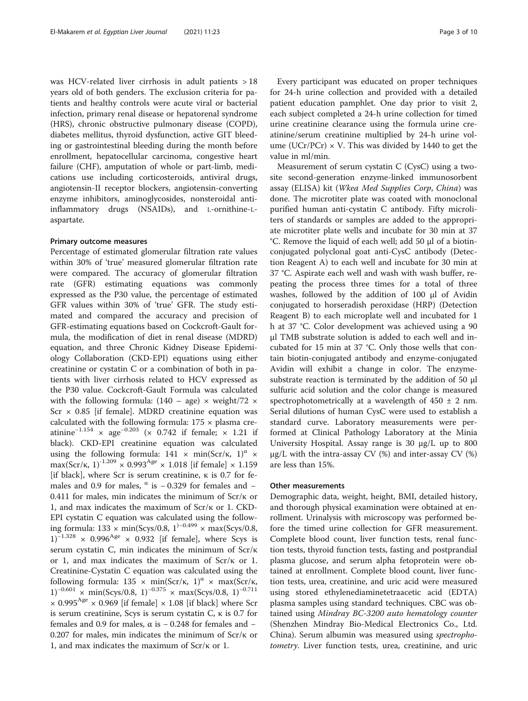was HCV-related liver cirrhosis in adult patients > 18 years old of both genders. The exclusion criteria for patients and healthy controls were acute viral or bacterial infection, primary renal disease or hepatorenal syndrome (HRS), chronic obstructive pulmonary disease (COPD), diabetes mellitus, thyroid dysfunction, active GIT bleeding or gastrointestinal bleeding during the month before enrollment, hepatocellular carcinoma, congestive heart failure (CHF), amputation of whole or part-limb, medications use including corticosteroids, antiviral drugs, angiotensin-II receptor blockers, angiotensin-converting enzyme inhibitors, aminoglycosides, nonsteroidal antiinflammatory drugs (NSAIDs), and L-ornithine-Laspartate.

## Primary outcome measures

Percentage of estimated glomerular filtration rate values within 30% of 'true' measured glomerular filtration rate were compared. The accuracy of glomerular filtration rate (GFR) estimating equations was commonly expressed as the P30 value, the percentage of estimated GFR values within 30% of 'true' GFR. The study estimated and compared the accuracy and precision of GFR-estimating equations based on Cockcroft-Gault formula, the modification of diet in renal disease (MDRD) equation, and three Chronic Kidney Disease Epidemiology Collaboration (CKD-EPI) equations using either creatinine or cystatin C or a combination of both in patients with liver cirrhosis related to HCV expressed as the P30 value. Cockcroft-Gault Formula was calculated with the following formula:  $(140 - age) \times weight/72 \times$ Scr  $\times$  0.85 [if female]. MDRD creatinine equation was calculated with the following formula:  $175 \times$  plasma creatinine<sup>-1.154</sup> × age<sup>-0.203</sup> (× 0.742 if female; × 1.21 if black). CKD-EPI creatinine equation was calculated using the following formula:  $141 \times min(Scr/\kappa, 1)^\alpha \times$ max(Scr/k, 1)<sup>-1.209</sup>  $\times$  0.993<sup>Age</sup>  $\times$  1.018 [if female]  $\times$  1.159 [if black], where Scr is serum creatinine,  $\kappa$  is 0.7 for females and 0.9 for males,  $\alpha$  is −0.329 for females and − 0.411 for males, min indicates the minimum of  $Scr/\kappa$  or 1, and max indicates the maximum of Scr/κ or 1. CKD-EPI cystatin C equation was calculated using the following formula: 133 × min(Scys/0.8, 1)<sup>−</sup>0.499 × max(Scys/0.8,  $1)^{-1.328}$  × 0.996<sup>Age</sup> × 0.932 [if female], where Scys is serum cystatin C, min indicates the minimum of Scr/κ or 1, and max indicates the maximum of Scr/κ or 1. Creatinine-Cystatin C equation was calculated using the following formula:  $135 \times \text{min}(\text{Scr}/\kappa, 1)^\alpha \times \text{max}(\text{Scr}/\kappa,$  $1)^{-0.601}$  × min(Scys/0.8, 1)<sup>-0.375</sup> × max(Scys/0.8, 1)<sup>-0.711</sup>  $\times$  0.995<sup>Age</sup>  $\times$  0.969 [if female]  $\times$  1.08 [if black] where Scr is serum creatinine, Scys is serum cystatin C,  $κ$  is 0.7 for females and 0.9 for males,  $\alpha$  is  $-$  0.248 for females and  $-$ 0.207 for males, min indicates the minimum of Scr/κ or 1, and max indicates the maximum of Scr/κ or 1.

Every participant was educated on proper techniques for 24-h urine collection and provided with a detailed patient education pamphlet. One day prior to visit 2, each subject completed a 24-h urine collection for timed urine creatinine clearance using the formula urine creatinine/serum creatinine multiplied by 24-h urine volume (UCr/PCr)  $\times$  V. This was divided by 1440 to get the value in ml/min.

Measurement of serum cystatin C (CysC) using a twosite second-generation enzyme-linked immunosorbent assay (ELISA) kit (Wkea Med Supplies Corp, China) was done. The microtiter plate was coated with monoclonal purified human anti-cystatin C antibody. Fifty microliters of standards or samples are added to the appropriate microtiter plate wells and incubate for 30 min at 37 °C. Remove the liquid of each well; add 50 μl of a biotinconjugated polyclonal goat anti-CysC antibody (Detection Reagent A) to each well and incubate for 30 min at 37 °C. Aspirate each well and wash with wash buffer, repeating the process three times for a total of three washes, followed by the addition of 100 μl of Avidin conjugated to horseradish peroxidase (HRP) (Detection Reagent B) to each microplate well and incubated for 1 h at 37 °C. Color development was achieved using a 90 μl TMB substrate solution is added to each well and incubated for 15 min at 37 °C. Only those wells that contain biotin-conjugated antibody and enzyme-conjugated Avidin will exhibit a change in color. The enzymesubstrate reaction is terminated by the addition of 50 μl sulfuric acid solution and the color change is measured spectrophotometrically at a wavelength of  $450 \pm 2$  nm. Serial dilutions of human CysC were used to establish a standard curve. Laboratory measurements were performed at Clinical Pathology Laboratory at the Minia University Hospital. Assay range is 30 μg/L up to 800 μg/L with the intra-assay CV (%) and inter-assay CV (%) are less than 15%.

#### Other measurements

Demographic data, weight, height, BMI, detailed history, and thorough physical examination were obtained at enrollment. Urinalysis with microscopy was performed before the timed urine collection for GFR measurement. Complete blood count, liver function tests, renal function tests, thyroid function tests, fasting and postprandial plasma glucose, and serum alpha fetoprotein were obtained at enrollment. Complete blood count, liver function tests, urea, creatinine, and uric acid were measured using stored ethylenediaminetetraacetic acid (EDTA) plasma samples using standard techniques. CBC was obtained using Mindray BC-3200 auto hematology counter (Shenzhen Mindray Bio-Medical Electronics Co., Ltd. China). Serum albumin was measured using spectrophotometry. Liver function tests, urea, creatinine, and uric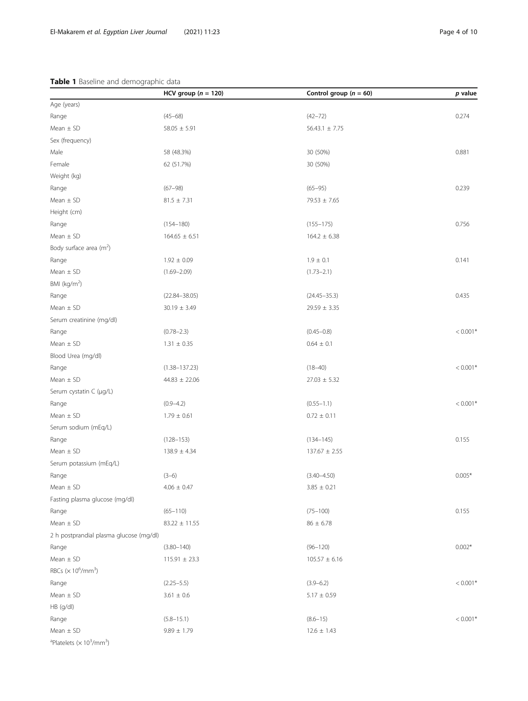## <span id="page-3-0"></span>Table 1 Baseline and demographic data

|                                                                      | HCV group ( $n = 120$ ) | Control group ( $n = 60$ ) | p value    |
|----------------------------------------------------------------------|-------------------------|----------------------------|------------|
| Age (years)                                                          |                         |                            |            |
| Range                                                                | $(45 - 68)$             | $(42 - 72)$                | 0.274      |
| Mean $\pm$ SD                                                        | $58.05 \pm 5.91$        | $56.43.1 \pm 7.75$         |            |
| Sex (frequency)                                                      |                         |                            |            |
| Male                                                                 | 58 (48.3%)              | 30 (50%)                   | 0.881      |
| Female                                                               | 62 (51.7%)              | 30 (50%)                   |            |
| Weight (kg)                                                          |                         |                            |            |
| Range                                                                | $(67 - 98)$             | $(65 - 95)$                | 0.239      |
| Mean $\pm$ SD                                                        | $81.5 \pm 7.31$         | $79.53 \pm 7.65$           |            |
| Height (cm)                                                          |                         |                            |            |
| Range                                                                | $(154 - 180)$           | $(155 - 175)$              | 0.756      |
| Mean $\pm$ SD                                                        | $164.65 \pm 6.51$       | $164.2 \pm 6.38$           |            |
| Body surface area $(m^2)$                                            |                         |                            |            |
| Range                                                                | $1.92 \pm 0.09$         | $1.9 \pm 0.1$              | 0.141      |
| Mean $\pm$ SD                                                        | $(1.69 - 2.09)$         | $(1.73 - 2.1)$             |            |
| BMI (kg/m <sup>2</sup> )                                             |                         |                            |            |
| Range                                                                | $(22.84 - 38.05)$       | $(24.45 - 35.3)$           | 0.435      |
| Mean $\pm$ SD                                                        | $30.19 \pm 3.49$        | $29.59 \pm 3.35$           |            |
| Serum creatinine (mg/dl)                                             |                         |                            |            |
| Range                                                                | $(0.78 - 2.3)$          | $(0.45 - 0.8)$             | $< 0.001*$ |
| Mean $\pm$ SD                                                        | $1.31 \pm 0.35$         | $0.64 \pm 0.1$             |            |
| Blood Urea (mg/dl)                                                   |                         |                            |            |
| Range                                                                | $(1.38 - 137.23)$       | $(18 - 40)$                | $< 0.001*$ |
| Mean $\pm$ SD                                                        | $44.83 \pm 22.06$       | $27.03 \pm 5.32$           |            |
| Serum cystatin C (µg/L)                                              |                         |                            |            |
| Range                                                                | $(0.9 - 4.2)$           | $(0.55 - 1.1)$             | $< 0.001*$ |
| Mean $\pm$ SD                                                        | $1.79 \pm 0.61$         | $0.72 \pm 0.11$            |            |
| Serum sodium (mEq/L)                                                 |                         |                            |            |
| Range                                                                | $(128 - 153)$           | $(134 - 145)$              | 0.155      |
| Mean $\pm$ SD                                                        | $138.9 \pm 4.34$        | $137.67 \pm 2.55$          |            |
| Serum potassium (mEq/L)                                              |                         |                            |            |
| Range                                                                | $(3-6)$                 | $(3.40 - 4.50)$            | $0.005*$   |
| Mean $\pm$ SD                                                        | $4.06 \pm 0.47$         | $3.85 \pm 0.21$            |            |
| Fasting plasma glucose (mg/dl)                                       |                         |                            |            |
| Range                                                                | $(65 - 110)$            | $(75 - 100)$               | 0.155      |
| Mean $\pm$ SD                                                        | $83.22 \pm 11.55$       | $86 \pm 6.78$              |            |
| 2 h postprandial plasma glucose (mg/dl)                              |                         |                            |            |
| Range                                                                | $(3.80 - 140)$          | $(96 - 120)$               | $0.002*$   |
| Mean $\pm$ SD                                                        | $115.91 \pm 23.3$       | $105.57 \pm 6.16$          |            |
| RBCs ( $\times$ 10 <sup>6</sup> /mm <sup>3</sup> )                   |                         |                            |            |
| Range                                                                | $(2.25 - 5.5)$          | $(3.9 - 6.2)$              | $< 0.001*$ |
| Mean $\pm$ SD                                                        | $3.61 \pm 0.6$          | $5.17 \pm 0.59$            |            |
| HB (g/dl)                                                            |                         |                            |            |
| Range                                                                | $(5.8 - 15.1)$          | $(8.6 - 15)$               | $< 0.001*$ |
| Mean $\pm$ SD                                                        | $9.89 \pm 1.79$         | $12.6 \pm 1.43$            |            |
| <sup>a</sup> Platelets ( $\times$ 10 <sup>3</sup> /mm <sup>3</sup> ) |                         |                            |            |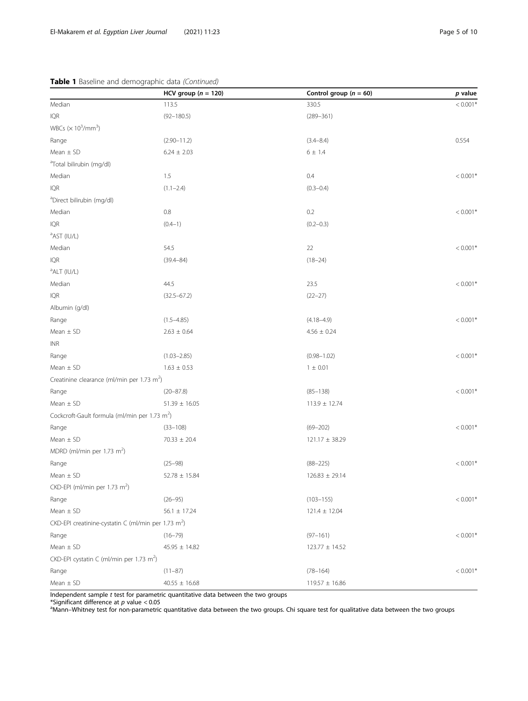## Table 1 Baseline and demographic data (Continued)

|                                                                 | HCV group ( $n = 120$ ) | Control group ( $n = 60$ ) | $p$ value  |
|-----------------------------------------------------------------|-------------------------|----------------------------|------------|
| Median                                                          | 113.5                   | 330.5                      | $< 0.001*$ |
| IQR                                                             | $(92 - 180.5)$          | $(289 - 361)$              |            |
| WBCs $(\times 10^3/\text{mm}^3)$                                |                         |                            |            |
| Range                                                           | $(2.90 - 11.2)$         | $(3.4 - 8.4)$              | 0.554      |
| Mean $\pm$ SD                                                   | $6.24 \pm 2.03$         | $6 \pm 1.4$                |            |
| <sup>a</sup> Total bilirubin (mg/dl)                            |                         |                            |            |
| Median                                                          | 1.5                     | 0.4                        | $< 0.001*$ |
| IQR                                                             | $(1.1 - 2.4)$           | $(0.3 - 0.4)$              |            |
| <sup>a</sup> Direct bilirubin (mg/dl)                           |                         |                            |            |
| Median                                                          | $0.8\,$                 | 0.2                        | $< 0.001*$ |
| IQR                                                             | $(0.4-1)$               | $(0.2 - 0.3)$              |            |
| <sup>a</sup> AST (IU/L)                                         |                         |                            |            |
| Median                                                          | 54.5                    | 22                         | $< 0.001*$ |
| IQR                                                             | $(39.4 - 84)$           | $(18 - 24)$                |            |
| <sup>a</sup> ALT (IU/L)                                         |                         |                            |            |
| Median                                                          | 44.5                    | 23.5                       | $< 0.001*$ |
| IQR                                                             | $(32.5 - 67.2)$         | $(22 - 27)$                |            |
| Albumin (g/dl)                                                  |                         |                            |            |
| Range                                                           | $(1.5 - 4.85)$          | $(4.18 - 4.9)$             | $< 0.001*$ |
| Mean $\pm$ SD                                                   | $2.63 \pm 0.64$         | $4.56 \pm 0.24$            |            |
| <b>INR</b>                                                      |                         |                            |            |
| Range                                                           | $(1.03 - 2.85)$         | $(0.98 - 1.02)$            | $< 0.001*$ |
| Mean $\pm$ SD                                                   | $1.63 \pm 0.53$         | $1 \pm 0.01$               |            |
| Creatinine clearance (ml/min per 1.73 m <sup>2</sup> )          |                         |                            |            |
| Range                                                           | $(20 - 87.8)$           | $(85 - 138)$               | $< 0.001*$ |
| Mean $\pm$ SD                                                   | $51.39 \pm 16.05$       | $113.9 \pm 12.74$          |            |
| Cockcroft-Gault formula (ml/min per 1.73 m <sup>2</sup> )       |                         |                            |            |
| Range                                                           | $(33-108)$              | $(69 - 202)$               | $< 0.001*$ |
| Mean $\pm$ SD                                                   | $70.33 \pm 20.4$        | $121.17 \pm 38.29$         |            |
| MDRD (ml/min per 1.73 m <sup>2</sup> )                          |                         |                            |            |
| Range                                                           | $(25 - 98)$             | $(88 - 225)$               | $< 0.001*$ |
| Mean $\pm$ SD                                                   | $52.78 \pm 15.84$       | $126.83 \pm 29.14$         |            |
| CKD-EPI (ml/min per 1.73 $m2$ )                                 |                         |                            |            |
| Range                                                           | $(26 - 95)$             | $(103 - 155)$              | $< 0.001*$ |
| Mean $\pm$ SD                                                   | $56.1 \pm 17.24$        | $121.4 \pm 12.04$          |            |
| CKD-EPI creatinine-cystatin C (ml/min per 1.73 m <sup>2</sup> ) |                         |                            |            |
| Range                                                           | $(16 - 79)$             | $(97 - 161)$               | $< 0.001*$ |
| Mean $\pm$ SD                                                   | $45.95 \pm 14.82$       | $123.77 \pm 14.52$         |            |
| CKD-EPI cystatin C (ml/min per 1.73 m <sup>2</sup> )            |                         |                            |            |
| Range                                                           | $(11 - 87)$             | $(78 - 164)$               | $< 0.001*$ |
| Mean $\pm$ SD                                                   | $40.55 \pm 16.68$       | $119.57 \pm 16.86$         |            |

Independent sample t test for parametric quantitative data between the two groups

\*Significant difference at *p* value < 0.05<br><sup>a</sup>Mann–Whitney test for non-parametric quantitative data between the two groups. Chi square test for qualitative data between the two groups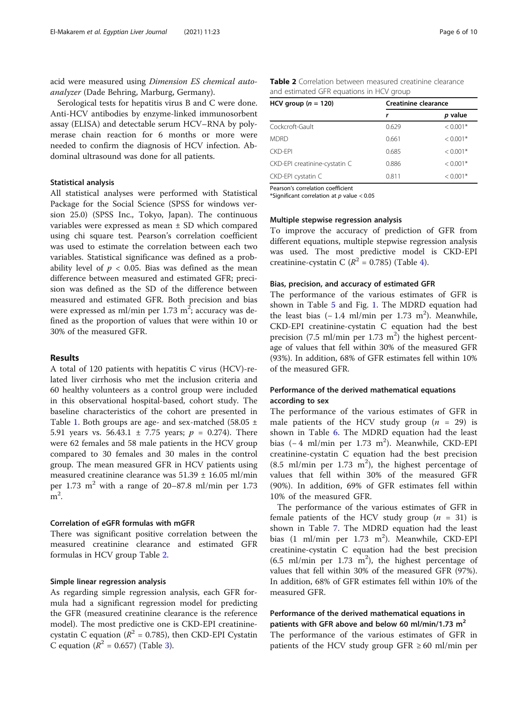acid were measured using Dimension ES chemical autoanalyzer (Dade Behring, Marburg, Germany).

Serological tests for hepatitis virus B and C were done. Anti-HCV antibodies by enzyme-linked immunosorbent assay (ELISA) and detectable serum HCV–RNA by polymerase chain reaction for 6 months or more were needed to confirm the diagnosis of HCV infection. Abdominal ultrasound was done for all patients.

## Statistical analysis

All statistical analyses were performed with Statistical Package for the Social Science (SPSS for windows version 25.0) (SPSS Inc., Tokyo, Japan). The continuous variables were expressed as mean ± SD which compared using chi square test. Pearson's correlation coefficient was used to estimate the correlation between each two variables. Statistical significance was defined as a probability level of  $p < 0.05$ . Bias was defined as the mean difference between measured and estimated GFR; precision was defined as the SD of the difference between measured and estimated GFR. Both precision and bias were expressed as ml/min per 1.73  $\mathrm{m}^2$ ; accuracy was defined as the proportion of values that were within 10 or 30% of the measured GFR.

## Results

A total of 120 patients with hepatitis C virus (HCV)-related liver cirrhosis who met the inclusion criteria and 60 healthy volunteers as a control group were included in this observational hospital-based, cohort study. The baseline characteristics of the cohort are presented in Table [1.](#page-3-0) Both groups are age- and sex-matched (58.05  $\pm$ 5.91 years vs. 56.43.1  $\pm$  7.75 years;  $p = 0.274$ ). There were 62 females and 58 male patients in the HCV group compared to 30 females and 30 males in the control group. The mean measured GFR in HCV patients using measured creatinine clearance was 51.39 ± 16.05 ml/min per 1.73  $m^2$  with a range of 20–87.8 ml/min per 1.73  $m<sup>2</sup>$ .

## Correlation of eGFR formulas with mGFR

There was significant positive correlation between the measured creatinine clearance and estimated GFR formulas in HCV group Table 2.

#### Simple linear regression analysis

As regarding simple regression analysis, each GFR formula had a significant regression model for predicting the GFR (measured creatinine clearance is the reference model). The most predictive one is CKD-EPI creatininecystatin C equation ( $R^2$  = 0.785), then CKD-EPI Cystatin C equation ( $R^2 = 0.657$ ) (Table [3\)](#page-6-0).

Table 2 Correlation between measured creatinine clearance and estimated GFR equations in HCV group

| HCV group $(n = 120)$         | <b>Creatinine clearance</b><br>r<br>0.629<br>0.661<br>0.685<br>0.886 |            |
|-------------------------------|----------------------------------------------------------------------|------------|
|                               |                                                                      | p value    |
| Cockcroft-Gault               |                                                                      | $< 0.001*$ |
| <b>MDRD</b>                   |                                                                      | $< 0.001*$ |
| CKD-FPI                       |                                                                      | $< 0.001*$ |
| CKD-EPI creatinine-cystatin C |                                                                      | $< 0.001*$ |
| CKD-EPI cystatin C            | 0.811                                                                | $< 0.001*$ |
|                               |                                                                      |            |

Pearson's correlation coefficient

\*Significant correlation at  $p$  value < 0.05

## Multiple stepwise regression analysis

To improve the accuracy of prediction of GFR from different equations, multiple stepwise regression analysis was used. The most predictive model is CKD-EPI creatinine-cystatin C ( $R^2$  = 0.785) (Table [4\)](#page-6-0).

#### Bias, precision, and accuracy of estimated GFR

The performance of the various estimates of GFR is shown in Table [5](#page-6-0) and Fig. [1.](#page-7-0) The MDRD equation had the least bias  $(-1.4 \text{ ml/min per } 1.73 \text{ m}^2)$ . Meanwhile, CKD-EPI creatinine-cystatin C equation had the best precision (7.5 ml/min per 1.73 m<sup>2</sup>) the highest percentage of values that fell within 30% of the measured GFR (93%). In addition, 68% of GFR estimates fell within 10% of the measured GFR.

## Performance of the derived mathematical equations according to sex

The performance of the various estimates of GFR in male patients of the HCV study group  $(n = 29)$  is shown in Table [6](#page-7-0). The MDRD equation had the least bias (-4 ml/min per 1.73 m<sup>2</sup>). Meanwhile, CKD-EPI creatinine-cystatin C equation had the best precision  $(8.5 \text{ ml/min per } 1.73 \text{ m}^2)$ , the highest percentage of values that fell within 30% of the measured GFR (90%). In addition, 69% of GFR estimates fell within 10% of the measured GFR.

The performance of the various estimates of GFR in female patients of the HCV study group  $(n = 31)$  is shown in Table [7](#page-8-0). The MDRD equation had the least bias  $(1 \text{ ml/min per } 1.73 \text{ m}^2)$ . Meanwhile, CKD-EPI creatinine-cystatin C equation had the best precision  $(6.5 \text{ ml/min per } 1.73 \text{ m}^2)$ , the highest percentage of values that fell within 30% of the measured GFR (97%). In addition, 68% of GFR estimates fell within 10% of the measured GFR.

## Performance of the derived mathematical equations in patients with GFR above and below 60 ml/min/1.73  $m<sup>2</sup>$

The performance of the various estimates of GFR in patients of the HCV study group GFR  $\geq 60$  ml/min per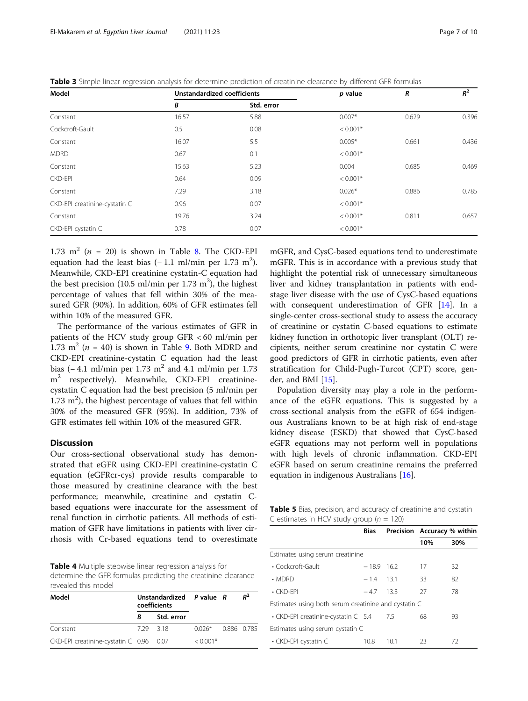<span id="page-6-0"></span>

|  |  |  |  | Table 3 Simple linear regression analysis for determine prediction of creatinine clearance by different GFR formulas |
|--|--|--|--|----------------------------------------------------------------------------------------------------------------------|
|  |  |  |  |                                                                                                                      |

| Model                         |       | <b>Unstandardized coefficients</b> |            | R     | $R^2$ |
|-------------------------------|-------|------------------------------------|------------|-------|-------|
|                               | В     | Std. error                         |            |       |       |
| Constant                      | 16.57 | 5.88                               | $0.007*$   | 0.629 | 0.396 |
| Cockcroft-Gault               | 0.5   | 0.08                               | $< 0.001*$ |       |       |
| Constant                      | 16.07 | 5.5                                | $0.005*$   | 0.661 | 0.436 |
| <b>MDRD</b>                   | 0.67  | 0.1                                | $< 0.001*$ |       |       |
| Constant                      | 15.63 | 5.23                               | 0.004      | 0.685 | 0.469 |
| <b>CKD-EPI</b>                | 0.64  | 0.09                               | $< 0.001*$ |       |       |
| Constant                      | 7.29  | 3.18                               | $0.026*$   | 0.886 | 0.785 |
| CKD-EPI creatinine-cystatin C | 0.96  | 0.07                               | $< 0.001*$ |       |       |
| Constant                      | 19.76 | 3.24                               | $< 0.001*$ | 0.811 | 0.657 |
| CKD-EPI cystatin C            | 0.78  | 0.07                               | $< 0.001*$ |       |       |

1.73 m<sup>2</sup> ( $n = 20$ ) is shown in Table [8](#page-8-0). The CKD-EPI equation had the least bias  $(-1.1 \text{ ml/min per } 1.73 \text{ m}^2)$ . Meanwhile, CKD-EPI creatinine cystatin-C equation had the best precision (10.5 ml/min per 1.73 m<sup>2</sup>), the highest percentage of values that fell within 30% of the measured GFR (90%). In addition, 60% of GFR estimates fell within 10% of the measured GFR.

The performance of the various estimates of GFR in patients of the HCV study group GFR < 60 ml/min per 1.73 m<sup>2</sup> ( $n = 40$ ) is shown in Table [9.](#page-8-0) Both MDRD and CKD-EPI creatinine-cystatin C equation had the least bias (− 4.1 ml/min per 1.73 m<sup>2</sup> and 4.1 ml/min per 1.73 m<sup>2</sup> respectively). Meanwhile, CKD-EPI creatininecystatin C equation had the best precision (5 ml/min per  $1.73 \text{ m}^2$ ), the highest percentage of values that fell within 30% of the measured GFR (95%). In addition, 73% of GFR estimates fell within 10% of the measured GFR.

## **Discussion**

Our cross-sectional observational study has demonstrated that eGFR using CKD-EPI creatinine-cystatin C equation (eGFRcr-cys) provide results comparable to those measured by creatinine clearance with the best performance; meanwhile, creatinine and cystatin Cbased equations were inaccurate for the assessment of renal function in cirrhotic patients. All methods of estimation of GFR have limitations in patients with liver cirrhosis with Cr-based equations tend to overestimate

Table 4 Multiple stepwise linear regression analysis for determine the GFR formulas predicting the creatinine clearance revealed this model

| Model                                   | Unstandardized $P$ value $R$<br>coefficients |            |                      | $R^2$ |
|-----------------------------------------|----------------------------------------------|------------|----------------------|-------|
|                                         | B                                            | Std. error |                      |       |
| Constant                                | 729 318                                      |            | $0.026*$ 0.886 0.785 |       |
| CKD-EPI creatinine-cystatin C 0.96 0.07 |                                              |            | $< 0.001*$           |       |

mGFR, and CysC-based equations tend to underestimate mGFR. This is in accordance with a previous study that highlight the potential risk of unnecessary simultaneous liver and kidney transplantation in patients with endstage liver disease with the use of CysC-based equations with consequent underestimation of GFR [[14](#page-9-0)]. In a single-center cross-sectional study to assess the accuracy of creatinine or cystatin C-based equations to estimate kidney function in orthotopic liver transplant (OLT) recipients, neither serum creatinine nor cystatin C were good predictors of GFR in cirrhotic patients, even after stratification for Child-Pugh-Turcot (CPT) score, gender, and BMI [\[15](#page-9-0)].

Population diversity may play a role in the performance of the eGFR equations. This is suggested by a cross-sectional analysis from the eGFR of 654 indigenous Australians known to be at high risk of end-stage kidney disease (ESKD) that showed that CysC-based eGFR equations may not perform well in populations with high levels of chronic inflammation. CKD-EPI eGFR based on serum creatinine remains the preferred equation in indigenous Australians [[16\]](#page-9-0).

Table 5 Bias, precision, and accuracy of creatinine and cystatin C estimates in HCV study group ( $n = 120$ )

|                                                      | <b>Bias</b>  |      | Precision Accuracy % within |     |  |
|------------------------------------------------------|--------------|------|-----------------------------|-----|--|
|                                                      |              |      | 10%                         | 30% |  |
| Estimates using serum creatinine                     |              |      |                             |     |  |
| • Cockcroft-Gault                                    | $-18.9$ 16.2 |      | 17                          | 32  |  |
| $\cdot$ MDRD                                         | $-1.4$ 13.1  |      | 33                          | 82  |  |
| $\cdot$ CKD-FPI                                      | $-4.7$       | 13.3 | 27                          | 78  |  |
| Estimates using both serum creatinine and cystatin C |              |      |                             |     |  |
| • CKD-EPI creatinine-cystatin C 5.4                  |              | 7.5  | 68                          | 93  |  |
| Estimates using serum cystatin C                     |              |      |                             |     |  |
| • CKD-EPI cystatin C                                 | 10.8         | 10.1 | 23                          | 72  |  |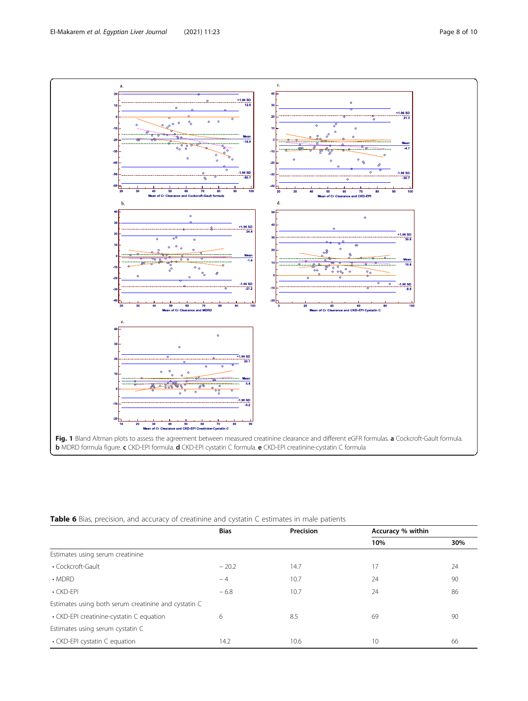<span id="page-7-0"></span>

Table 6 Bias, precision, and accuracy of creatinine and cystatin C estimates in male patients

|                                                      | <b>Bias</b> | Precision | Accuracy % within |     |
|------------------------------------------------------|-------------|-----------|-------------------|-----|
|                                                      |             |           | 10%               | 30% |
| Estimates using serum creatinine                     |             |           |                   |     |
| • Cockcroft-Gault                                    | $-20.2$     | 14.7      | 17                | 24  |
| $\cdot$ MDRD                                         | $-4$        | 10.7      | 24                | 90  |
| $\cdot$ CKD-EPI                                      | $-6.8$      | 10.7      | 24                | 86  |
| Estimates using both serum creatinine and cystatin C |             |           |                   |     |
| • CKD-EPI creatinine-cystatin C equation             | 6           | 8.5       | 69                | 90  |
| Estimates using serum cystatin C                     |             |           |                   |     |
| • CKD-EPI cystatin C equation                        | 14.2        | 10.6      | 10                | 66  |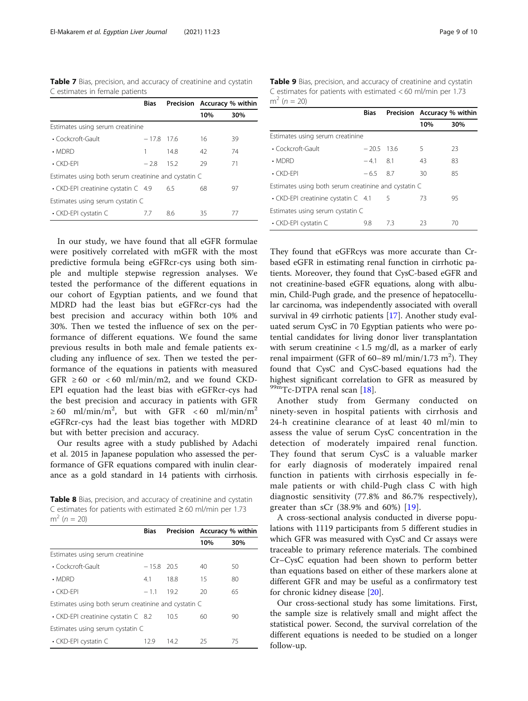<span id="page-8-0"></span>Table 7 Bias, precision, and accuracy of creatinine and cystatin C estimates in female patients

|                                                      | Bias    | Precision Accuracy % within |     |     |  |
|------------------------------------------------------|---------|-----------------------------|-----|-----|--|
|                                                      |         |                             | 10% | 30% |  |
| Estimates using serum creatinine                     |         |                             |     |     |  |
| • Cockcroft-Gault                                    | $-17.8$ | - 17.6                      | 16  | 39  |  |
| $\cdot$ MDRD                                         |         | 14.8                        | 42  | 74  |  |
| $\cdot$ CKD-FPI                                      | $-28$   | 152                         | 29  | 71  |  |
| Estimates using both serum creatinine and cystatin C |         |                             |     |     |  |
| • CKD-EPI creatinine cystatin C 4.9                  |         | 6.5                         | 68  | 97  |  |
| Estimates using serum cystatin C                     |         |                             |     |     |  |
| • CKD-EPI cystatin C                                 | 7.7     | 8.6                         | 35  | 77  |  |

In our study, we have found that all eGFR formulae were positively correlated with mGFR with the most predictive formula being eGFRcr-cys using both simple and multiple stepwise regression analyses. We tested the performance of the different equations in our cohort of Egyptian patients, and we found that MDRD had the least bias but eGFRcr-cys had the best precision and accuracy within both 10% and 30%. Then we tested the influence of sex on the performance of different equations. We found the same previous results in both male and female patients excluding any influence of sex. Then we tested the performance of the equations in patients with measured GFR  $\geq 60$  or <60 ml/min/m2, and we found CKD-EPI equation had the least bias with eGFRcr-cys had the best precision and accuracy in patients with GFR  $\geq 60$  ml/min/m<sup>2</sup>, but with GFR < 60 ml/min/m<sup>2</sup> eGFRcr-cys had the least bias together with MDRD but with better precision and accuracy.

Our results agree with a study published by Adachi et al. 2015 in Japanese population who assessed the performance of GFR equations compared with inulin clearance as a gold standard in 14 patients with cirrhosis.

Table 8 Bias, precision, and accuracy of creatinine and cystatin C estimates for patients with estimated ≥ 60 ml/min per 1.73  $m^2 (n = 20)$ 

|                                                      | <b>Bias</b>  |      | Precision Accuracy % within |     |
|------------------------------------------------------|--------------|------|-----------------------------|-----|
|                                                      |              |      | 10%                         | 30% |
| Estimates using serum creatinine                     |              |      |                             |     |
| • Cockcroft-Gault                                    | $-15.8$ 20.5 |      | 40                          | 50  |
| $\cdot$ MDRD                                         | 4.1          | 18.8 | 15                          | 80  |
| $\cdot$ CKD-FPI                                      | $-11$        | 19.2 | 20                          | 65  |
| Estimates using both serum creatinine and cystatin C |              |      |                             |     |
| • CKD-EPI creatinine cystatin C 8.2                  |              | 10.5 | 60                          | 90  |
| Estimates using serum cystatin C                     |              |      |                             |     |
| • CKD-EPI cystatin C                                 | 12.9         | 14.2 | 25                          | 75  |

Table 9 Bias, precision, and accuracy of creatinine and cystatin C estimates for patients with estimated < 60 ml/min per 1.73  $m^2 (n = 20)$ 

|                                                      | Bias         | Precision Accuracy % within |     |     |
|------------------------------------------------------|--------------|-----------------------------|-----|-----|
|                                                      |              |                             | 10% | 30% |
| Estimates using serum creatinine                     |              |                             |     |     |
| $\cdot$ Cockcroft-Gault                              | $-20.5$ 13.6 |                             | 5   | 23  |
| $\cdot$ MDRD                                         | $-4.1$ 8.1   |                             | 43  | 83  |
| $\cdot$ CKD-FPI                                      | $-6.5$ 8.7   |                             | 30  | 85  |
| Estimates using both serum creatinine and cystatin C |              |                             |     |     |
| • CKD-EPI creatinine cystatin C 4.1                  |              | 5                           | 73  | 95  |
| Estimates using serum cystatin C                     |              |                             |     |     |
| • CKD-EPI cystatin C                                 | 9.8          | 7.3                         | 23  | 70  |

They found that eGFRcys was more accurate than Crbased eGFR in estimating renal function in cirrhotic patients. Moreover, they found that CysC-based eGFR and not creatinine-based eGFR equations, along with albumin, Child-Pugh grade, and the presence of hepatocellular carcinoma, was independently associated with overall survival in 49 cirrhotic patients [\[17\]](#page-9-0). Another study evaluated serum CysC in 70 Egyptian patients who were potential candidates for living donor liver transplantation with serum creatinine  $< 1.5$  mg/dl, as a marker of early renal impairment (GFR of 60-89 ml/min/1.73 m<sup>2</sup>). They found that CysC and CysC-based equations had the highest significant correlation to GFR as measured by  $^{99m}$ Tc-DTPA renal scan [\[18](#page-9-0)].

Another study from Germany conducted on ninety-seven in hospital patients with cirrhosis and 24-h creatinine clearance of at least 40 ml/min to assess the value of serum CysC concentration in the detection of moderately impaired renal function. They found that serum CysC is a valuable marker for early diagnosis of moderately impaired renal function in patients with cirrhosis especially in female patients or with child-Pugh class C with high diagnostic sensitivity (77.8% and 86.7% respectively), greater than sCr (38.9% and 60%) [\[19\]](#page-9-0).

A cross-sectional analysis conducted in diverse populations with 1119 participants from 5 different studies in which GFR was measured with CysC and Cr assays were traceable to primary reference materials. The combined Cr–CysC equation had been shown to perform better than equations based on either of these markers alone at different GFR and may be useful as a confirmatory test for chronic kidney disease [[20](#page-9-0)].

Our cross-sectional study has some limitations. First, the sample size is relatively small and might affect the statistical power. Second, the survival correlation of the different equations is needed to be studied on a longer follow-up.